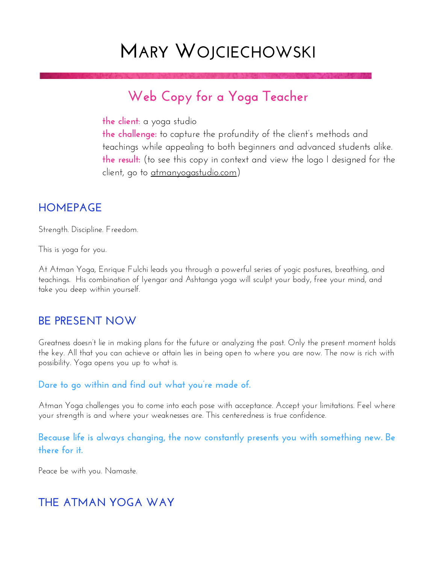# **MARY WOJCIECHOWSKI**

## **Web Copy for a Yoga Teacher**

**the client:** a yoga studio

**the challenge:** to capture the profundity of the client's methods and teachings while appealing to both beginners and advanced students alike. **the result:** (to see this copy in context and view the logo I designed for the client, go to [atmanyogastudio.com\)](http://atmanyogastudio.com)

### **HOMEPAGE**

Strength. Discipline. Freedom.

This is yoga for you.

At Atman Yoga, Enrique Fulchi leads you through a powerful series of yogic postures, breathing, and teachings. His combination of Iyengar and Ashtanga yoga will sculpt your body, free your mind, and take you deep within yourself.

### **BE PRESENT NOW**

Greatness doesn't lie in making plans for the future or analyzing the past. Only the present moment holds the key. All that you can achieve or attain lies in being open to where you are now. The now is rich with possibility. Yoga opens you up to what is.

#### **Dare to go within and find out what you're made of.**

Atman Yoga challenges you to come into each pose with acceptance. Accept your limitations. Feel where your strength is and where your weaknesses are. This centeredness is true confidence.

**Because life is always changing, the now constantly presents you with something new. Be there for it.** 

Peace be with you. Namaste.

### **THE ATMAN YOGA WAY**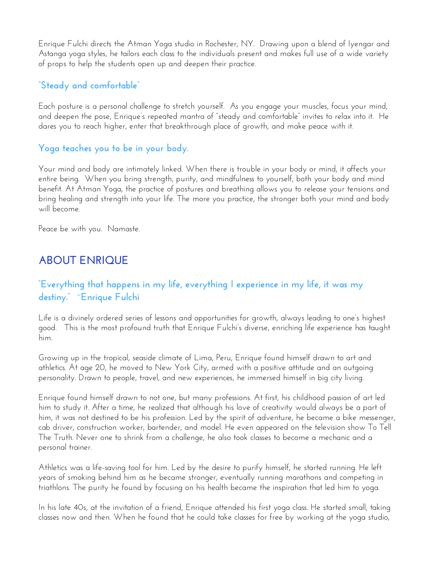Enrique Fulchi directs the Atman Yoga studio in Rochester, NY. Drawing upon a blend of Iyengar and Astanga yoga styles, he tailors each class to the individuals present and makes full use of a wide variety of props to help the students open up and deepen their practice.

#### **"Steady and comfortable"**

Each posture is a personal challenge to stretch yourself. As you engage your muscles, focus your mind, and deepen the pose, Enrique's repeated mantra of "steady and comfortable" invites to relax into it. He dares you to reach higher, enter that breakthrough place of growth, and make peace with it.

#### **Yoga teaches you to be in your body.**

Your mind and body are intimately linked. When there is trouble in your body or mind, it affects your entire being. When you bring strength, purity, and mindfulness to yourself, both your body and mind benefit. At Atman Yoga, the practice of postures and breathing allows you to release your tensions and bring healing and strength into your life. The more you practice, the stronger both your mind and body will become.

Peace be with you. Namaste.

### **ABOUT ENRIQUE**

#### **"Everything that happens in my life, everything I experience in my life, it was my destiny." ~Enrique Fulchi**

Life is a divinely ordered series of lessons and opportunities for growth, always leading to one's highest good. This is the most profound truth that Enrique Fulchi's diverse, enriching life experience has taught him.

Growing up in the tropical, seaside climate of Lima, Peru, Enrique found himself drawn to art and athletics. At age 20, he moved to New York City, armed with a positive attitude and an outgoing personality. Drawn to people, travel, and new experiences, he immersed himself in big city living.

Enrique found himself drawn to not one, but many professions. At first, his childhood passion of art led him to study it. After a time, he realized that although his love of creativity would always be a part of him, it was not destined to be his profession. Led by the spirit of adventure, he became a bike messenger, cab driver, construction worker, bartender, and model. He even appeared on the television show To Tell The Truth. Never one to shrink from a challenge, he also took classes to become a mechanic and a personal trainer.

Athletics was a life-saving tool for him. Led by the desire to purify himself, he started running. He left years of smoking behind him as he became stronger, eventually running marathons and competing in triathlons. The purity he found by focusing on his health became the inspiration that led him to yoga.

In his late 40s, at the invitation of a friend, Enrique attended his first yoga class. He started small, taking classes now and then. When he found that he could take classes for free by working at the yoga studio,